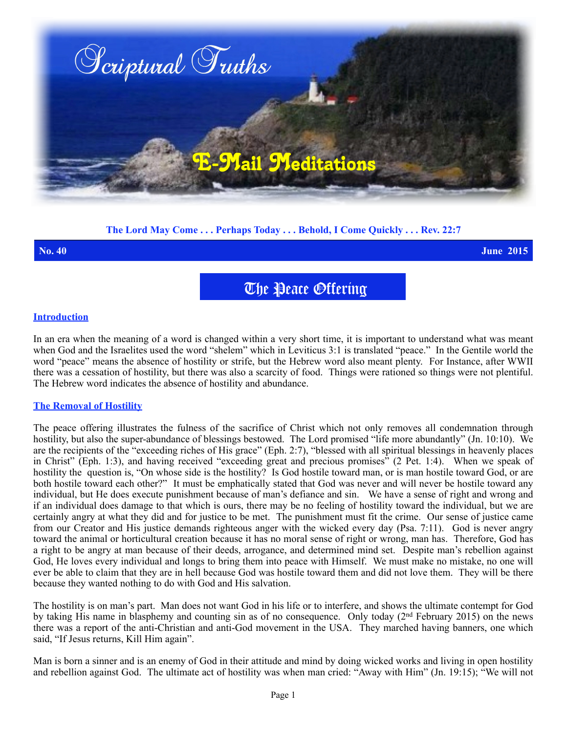

# **The Lord May Come . . . Perhaps Today . . . Behold, I Come Quickly . . . Rev. 22:7**

**No. 40 June 2015**

The Peace Offering

#### **Introduction**

In an era when the meaning of a word is changed within a very short time, it is important to understand what was meant when God and the Israelites used the word "shelem" which in Leviticus 3:1 is translated "peace." In the Gentile world the word "peace" means the absence of hostility or strife, but the Hebrew word also meant plenty. For Instance, after WWII there was a cessation of hostility, but there was also a scarcity of food. Things were rationed so things were not plentiful. The Hebrew word indicates the absence of hostility and abundance.

#### **The Removal of Hostility**

The peace offering illustrates the fulness of the sacrifice of Christ which not only removes all condemnation through hostility, but also the super-abundance of blessings bestowed. The Lord promised "life more abundantly" (Jn. 10:10). We are the recipients of the "exceeding riches of His grace" (Eph. 2:7), "blessed with all spiritual blessings in heavenly places in Christ" (Eph. 1:3), and having received "exceeding great and precious promises" (2 Pet. 1:4). When we speak of hostility the question is, "On whose side is the hostility? Is God hostile toward man, or is man hostile toward God, or are both hostile toward each other?" It must be emphatically stated that God was never and will never be hostile toward any individual, but He does execute punishment because of man's defiance and sin. We have a sense of right and wrong and if an individual does damage to that which is ours, there may be no feeling of hostility toward the individual, but we are certainly angry at what they did and for justice to be met. The punishment must fit the crime. Our sense of justice came from our Creator and His justice demands righteous anger with the wicked every day (Psa. 7:11). God is never angry toward the animal or horticultural creation because it has no moral sense of right or wrong, man has. Therefore, God has a right to be angry at man because of their deeds, arrogance, and determined mind set. Despite man's rebellion against God, He loves every individual and longs to bring them into peace with Himself. We must make no mistake, no one will ever be able to claim that they are in hell because God was hostile toward them and did not love them. They will be there because they wanted nothing to do with God and His salvation.

The hostility is on man's part. Man does not want God in his life or to interfere, and shows the ultimate contempt for God by taking His name in blasphemy and counting sin as of no consequence. Only today ( $2<sup>nd</sup>$  February 2015) on the news there was a report of the anti-Christian and anti-God movement in the USA. They marched having banners, one which said, "If Jesus returns, Kill Him again".

Man is born a sinner and is an enemy of God in their attitude and mind by doing wicked works and living in open hostility and rebellion against God. The ultimate act of hostility was when man cried: "Away with Him" (Jn. 19:15); "We will not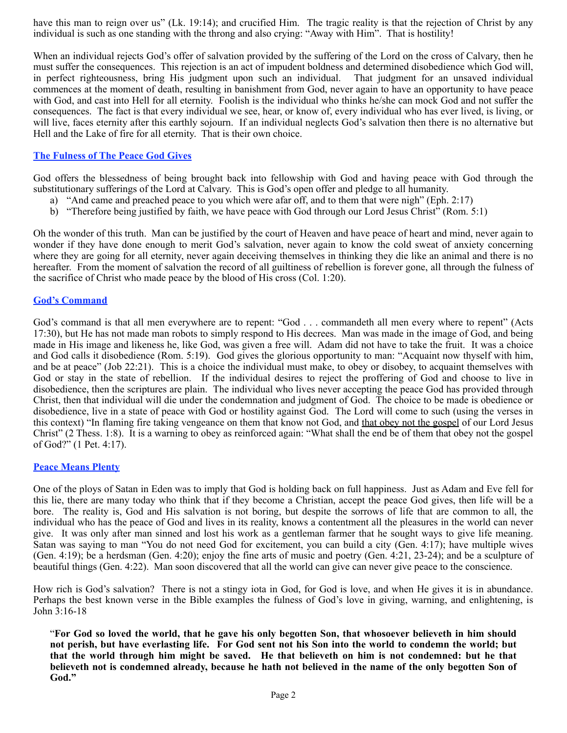have this man to reign over us" (Lk. 19:14); and crucified Him. The tragic reality is that the rejection of Christ by any individual is such as one standing with the throng and also crying: "Away with Him". That is hostility!

When an individual rejects God's offer of salvation provided by the suffering of the Lord on the cross of Calvary, then he must suffer the consequences. This rejection is an act of impudent boldness and determined disobedience which God will, in perfect righteousness, bring His judgment upon such an individual. That judgment for an unsaved individual commences at the moment of death, resulting in banishment from God, never again to have an opportunity to have peace with God, and cast into Hell for all eternity. Foolish is the individual who thinks he/she can mock God and not suffer the consequences. The fact is that every individual we see, hear, or know of, every individual who has ever lived, is living, or will live, faces eternity after this earthly sojourn. If an individual neglects God's salvation then there is no alternative but Hell and the Lake of fire for all eternity. That is their own choice.

### **The Fulness of The Peace God Gives**

God offers the blessedness of being brought back into fellowship with God and having peace with God through the substitutionary sufferings of the Lord at Calvary. This is God's open offer and pledge to all humanity.

- a) "And came and preached peace to you which were afar off, and to them that were nigh" (Eph. 2:17)
- b) "Therefore being justified by faith, we have peace with God through our Lord Jesus Christ" (Rom. 5:1)

Oh the wonder of this truth. Man can be justified by the court of Heaven and have peace of heart and mind, never again to wonder if they have done enough to merit God's salvation, never again to know the cold sweat of anxiety concerning where they are going for all eternity, never again deceiving themselves in thinking they die like an animal and there is no hereafter. From the moment of salvation the record of all guiltiness of rebellion is forever gone, all through the fulness of the sacrifice of Christ who made peace by the blood of His cross (Col. 1:20).

#### **God's Command**

God's command is that all men everywhere are to repent: "God . . . commandeth all men every where to repent" (Acts 17:30), but He has not made man robots to simply respond to His decrees. Man was made in the image of God, and being made in His image and likeness he, like God, was given a free will. Adam did not have to take the fruit. It was a choice and God calls it disobedience (Rom. 5:19). God gives the glorious opportunity to man: "Acquaint now thyself with him, and be at peace" (Job 22:21). This is a choice the individual must make, to obey or disobey, to acquaint themselves with God or stay in the state of rebellion. If the individual desires to reject the proffering of God and choose to live in disobedience, then the scriptures are plain. The individual who lives never accepting the peace God has provided through Christ, then that individual will die under the condemnation and judgment of God. The choice to be made is obedience or disobedience, live in a state of peace with God or hostility against God. The Lord will come to such (using the verses in this context) "In flaming fire taking vengeance on them that know not God, and that obey not the gospel of our Lord Jesus Christ" (2 Thess. 1:8). It is a warning to obey as reinforced again: "What shall the end be of them that obey not the gospel of God?" (1 Pet. 4:17).

#### **Peace Means Plenty**

One of the ploys of Satan in Eden was to imply that God is holding back on full happiness. Just as Adam and Eve fell for this lie, there are many today who think that if they become a Christian, accept the peace God gives, then life will be a bore. The reality is, God and His salvation is not boring, but despite the sorrows of life that are common to all, the individual who has the peace of God and lives in its reality, knows a contentment all the pleasures in the world can never give. It was only after man sinned and lost his work as a gentleman farmer that he sought ways to give life meaning. Satan was saying to man "You do not need God for excitement, you can build a city (Gen. 4:17); have multiple wives (Gen. 4:19); be a herdsman (Gen. 4:20); enjoy the fine arts of music and poetry (Gen. 4:21, 23-24); and be a sculpture of beautiful things (Gen. 4:22). Man soon discovered that all the world can give can never give peace to the conscience.

How rich is God's salvation? There is not a stingy iota in God, for God is love, and when He gives it is in abundance. Perhaps the best known verse in the Bible examples the fulness of God's love in giving, warning, and enlightening, is John 3:16-18

"**For God so loved the world, that he gave his only begotten Son, that whosoever believeth in him should not perish, but have everlasting life. For God sent not his Son into the world to condemn the world; but that the world through him might be saved. He that believeth on him is not condemned: but he that believeth not is condemned already, because he hath not believed in the name of the only begotten Son of God."**